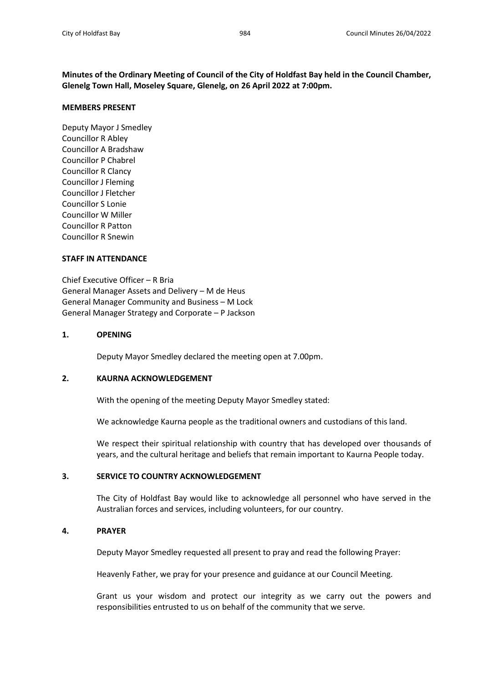**Minutes of the Ordinary Meeting of Council of the City of Holdfast Bay held in the Council Chamber, Glenelg Town Hall, Moseley Square, Glenelg, on 26 April 2022 at 7:00pm.**

## **MEMBERS PRESENT**

Deputy Mayor J Smedley Councillor R Abley Councillor A Bradshaw Councillor P Chabrel Councillor R Clancy Councillor J Fleming Councillor J Fletcher Councillor S Lonie Councillor W Miller Councillor R Patton Councillor R Snewin

# **STAFF IN ATTENDANCE**

Chief Executive Officer – R Bria General Manager Assets and Delivery – M de Heus General Manager Community and Business – M Lock General Manager Strategy and Corporate – P Jackson

# **1. OPENING**

Deputy Mayor Smedley declared the meeting open at 7.00pm.

# **2. KAURNA ACKNOWLEDGEMENT**

With the opening of the meeting Deputy Mayor Smedley stated:

We acknowledge Kaurna people as the traditional owners and custodians of this land.

We respect their spiritual relationship with country that has developed over thousands of years, and the cultural heritage and beliefs that remain important to Kaurna People today.

# **3. SERVICE TO COUNTRY ACKNOWLEDGEMENT**

The City of Holdfast Bay would like to acknowledge all personnel who have served in the Australian forces and services, including volunteers, for our country.

# **4. PRAYER**

Deputy Mayor Smedley requested all present to pray and read the following Prayer:

Heavenly Father, we pray for your presence and guidance at our Council Meeting.

Grant us your wisdom and protect our integrity as we carry out the powers and responsibilities entrusted to us on behalf of the community that we serve.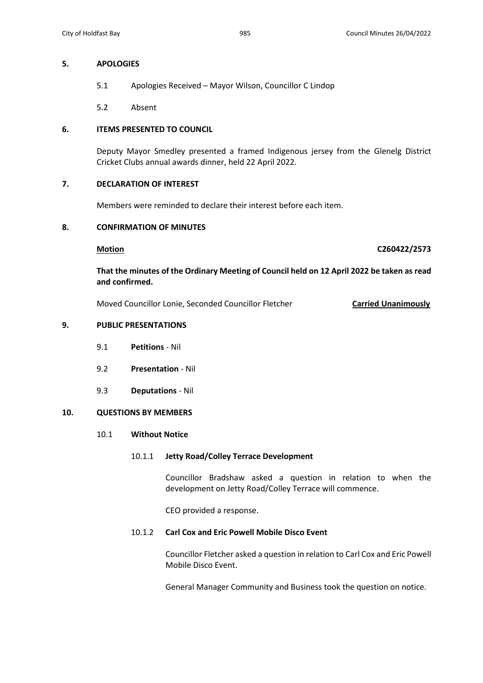## **5. APOLOGIES**

- 5.1 Apologies Received Mayor Wilson, Councillor C Lindop
- 5.2 Absent

# **6. ITEMS PRESENTED TO COUNCIL**

Deputy Mayor Smedley presented a framed Indigenous jersey from the Glenelg District Cricket Clubs annual awards dinner, held 22 April 2022.

# **7. DECLARATION OF INTEREST**

Members were reminded to declare their interest before each item.

# **8. CONFIRMATION OF MINUTES**

**Motion C260422/2573**

**That the minutes of the Ordinary Meeting of Council held on 12 April 2022 be taken as read and confirmed.**

Moved Councillor Lonie, Seconded Councillor Fletcher **Carried Unanimously**

### **9. PUBLIC PRESENTATIONS**

- 9.1 **Petitions** Nil
- 9.2 **Presentation** Nil
- 9.3 **Deputations** Nil

# **10. QUESTIONS BY MEMBERS**

### 10.1 **Without Notice**

# 10.1.1 **Jetty Road/Colley Terrace Development**

Councillor Bradshaw asked a question in relation to when the development on Jetty Road/Colley Terrace will commence.

CEO provided a response.

# 10.1.2 **Carl Cox and Eric Powell Mobile Disco Event**

Councillor Fletcher asked a question in relation to Carl Cox and Eric Powell Mobile Disco Event.

General Manager Community and Business took the question on notice.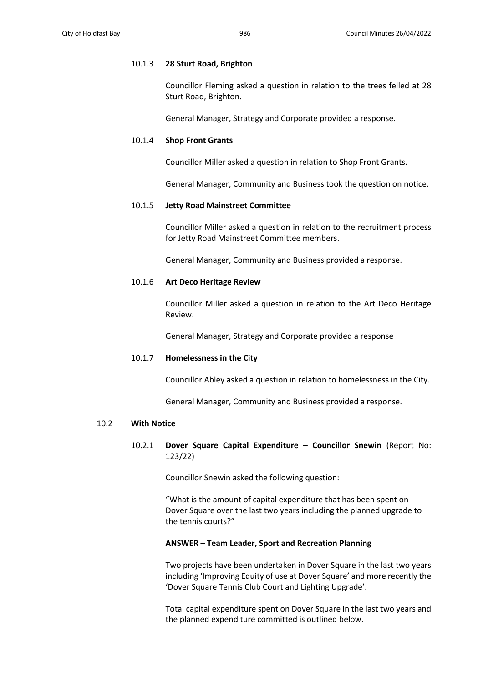## 10.1.3 **28 Sturt Road, Brighton**

Councillor Fleming asked a question in relation to the trees felled at 28 Sturt Road, Brighton.

General Manager, Strategy and Corporate provided a response.

# 10.1.4 **Shop Front Grants**

Councillor Miller asked a question in relation to Shop Front Grants.

General Manager, Community and Business took the question on notice.

## 10.1.5 **Jetty Road Mainstreet Committee**

Councillor Miller asked a question in relation to the recruitment process for Jetty Road Mainstreet Committee members.

General Manager, Community and Business provided a response.

## 10.1.6 **Art Deco Heritage Review**

Councillor Miller asked a question in relation to the Art Deco Heritage Review.

General Manager, Strategy and Corporate provided a response

## 10.1.7 **Homelessness in the City**

Councillor Abley asked a question in relation to homelessness in the City.

General Manager, Community and Business provided a response.

### 10.2 **With Notice**

# 10.2.1 **Dover Square Capital Expenditure – Councillor Snewin** (Report No: 123/22)

Councillor Snewin asked the following question:

"What is the amount of capital expenditure that has been spent on Dover Square over the last two years including the planned upgrade to the tennis courts?"

### **ANSWER – Team Leader, Sport and Recreation Planning**

Two projects have been undertaken in Dover Square in the last two years including 'Improving Equity of use at Dover Square' and more recently the 'Dover Square Tennis Club Court and Lighting Upgrade'.

Total capital expenditure spent on Dover Square in the last two years and the planned expenditure committed is outlined below.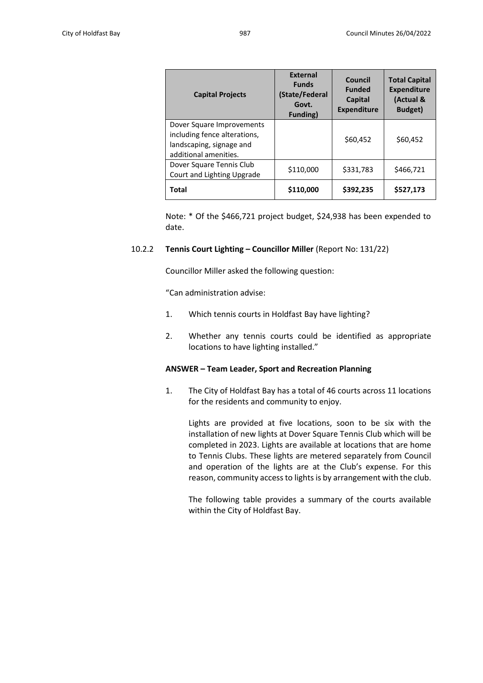| <b>Capital Projects</b>                                                                                        | <b>External</b><br><b>Funds</b><br>(State/Federal<br>Govt.<br><b>Funding</b> ) | Council<br><b>Funded</b><br>Capital<br><b>Expenditure</b> | <b>Total Capital</b><br><b>Expenditure</b><br>(Actual &<br>Budget) |
|----------------------------------------------------------------------------------------------------------------|--------------------------------------------------------------------------------|-----------------------------------------------------------|--------------------------------------------------------------------|
| Dover Square Improvements<br>including fence alterations,<br>landscaping, signage and<br>additional amenities. |                                                                                | \$60,452                                                  | \$60,452                                                           |
| Dover Square Tennis Club<br>Court and Lighting Upgrade                                                         | \$110,000                                                                      | \$331,783                                                 | \$466,721                                                          |
| <b>Total</b>                                                                                                   | \$110,000                                                                      | \$392,235                                                 | \$527.173                                                          |

Note: \* Of the \$466,721 project budget, \$24,938 has been expended to date.

## 10.2.2 **Tennis Court Lighting – Councillor Miller** (Report No: 131/22)

Councillor Miller asked the following question:

"Can administration advise:

- 1. Which tennis courts in Holdfast Bay have lighting?
- 2. Whether any tennis courts could be identified as appropriate locations to have lighting installed."

## **ANSWER – Team Leader, Sport and Recreation Planning**

1. The City of Holdfast Bay has a total of 46 courts across 11 locations for the residents and community to enjoy.

Lights are provided at five locations, soon to be six with the installation of new lights at Dover Square Tennis Club which will be completed in 2023. Lights are available at locations that are home to Tennis Clubs. These lights are metered separately from Council and operation of the lights are at the Club's expense. For this reason, community access to lights is by arrangement with the club.

The following table provides a summary of the courts available within the City of Holdfast Bay.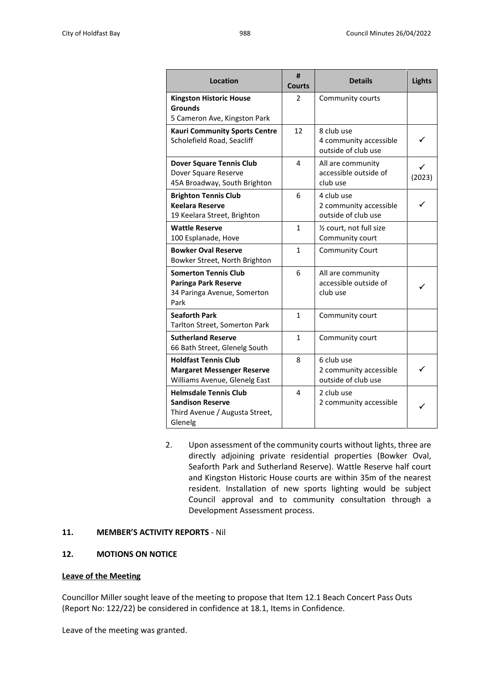| <b>Location</b>                                                                                      | #<br><b>Courts</b> | <b>Details</b>                                              | <b>Lights</b> |
|------------------------------------------------------------------------------------------------------|--------------------|-------------------------------------------------------------|---------------|
| <b>Kingston Historic House</b><br>Grounds<br>5 Cameron Ave, Kingston Park                            | 2                  | Community courts                                            |               |
| <b>Kauri Community Sports Centre</b><br>Scholefield Road, Seacliff                                   | 12                 | 8 club use<br>4 community accessible<br>outside of club use |               |
| <b>Dover Square Tennis Club</b><br>Dover Square Reserve<br>45A Broadway, South Brighton              | 4                  | All are community<br>accessible outside of<br>club use      | (2023)        |
| <b>Brighton Tennis Club</b><br><b>Keelara Reserve</b><br>19 Keelara Street, Brighton                 | 6                  | 4 club use<br>2 community accessible<br>outside of club use |               |
| <b>Wattle Reserve</b><br>100 Esplanade, Hove                                                         | 1                  | 1/2 court, not full size<br>Community court                 |               |
| <b>Bowker Oval Reserve</b><br>Bowker Street, North Brighton                                          | $\mathbf{1}$       | <b>Community Court</b>                                      |               |
| <b>Somerton Tennis Club</b><br><b>Paringa Park Reserve</b><br>34 Paringa Avenue, Somerton<br>Park    | 6                  | All are community<br>accessible outside of<br>club use      |               |
| <b>Seaforth Park</b><br>Tarlton Street, Somerton Park                                                | 1                  | Community court                                             |               |
| <b>Sutherland Reserve</b><br>66 Bath Street, Glenelg South                                           | 1                  | Community court                                             |               |
| <b>Holdfast Tennis Club</b><br><b>Margaret Messenger Reserve</b><br>Williams Avenue, Glenelg East    | 8                  | 6 club use<br>2 community accessible<br>outside of club use |               |
| <b>Helmsdale Tennis Club</b><br><b>Sandison Reserve</b><br>Third Avenue / Augusta Street,<br>Glenelg | 4                  | 2 club use<br>2 community accessible                        | ✓             |

2. Upon assessment of the community courts without lights, three are directly adjoining private residential properties (Bowker Oval, Seaforth Park and Sutherland Reserve). Wattle Reserve half court and Kingston Historic House courts are within 35m of the nearest resident. Installation of new sports lighting would be subject Council approval and to community consultation through a Development Assessment process.

# **11. MEMBER'S ACTIVITY REPORTS** - Nil

# **12. MOTIONS ON NOTICE**

## **Leave of the Meeting**

Councillor Miller sought leave of the meeting to propose that Item 12.1 Beach Concert Pass Outs (Report No: 122/22) be considered in confidence at 18.1, Items in Confidence.

Leave of the meeting was granted.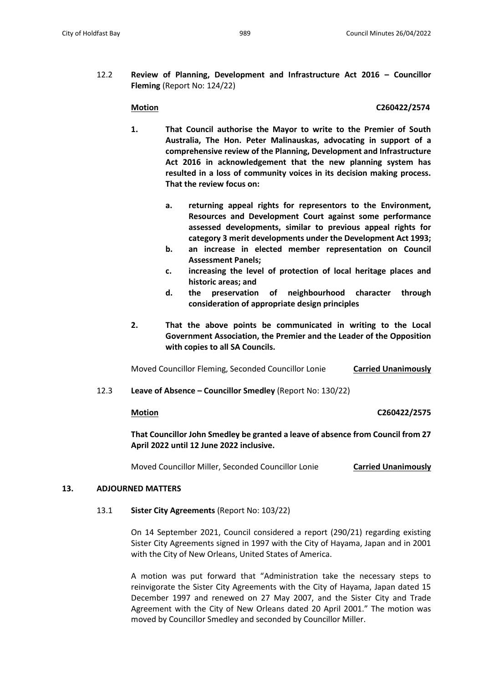12.2 **Review of Planning, Development and Infrastructure Act 2016 – Councillor Fleming** (Report No: 124/22)

## **Motion C260422/2574**

- **1. That Council authorise the Mayor to write to the Premier of South Australia, The Hon. Peter Malinauskas, advocating in support of a comprehensive review of the Planning, Development and Infrastructure Act 2016 in acknowledgement that the new planning system has resulted in a loss of community voices in its decision making process. That the review focus on:**
	- **a. returning appeal rights for representors to the Environment, Resources and Development Court against some performance assessed developments, similar to previous appeal rights for category 3 merit developments under the Development Act 1993;**
	- **b. an increase in elected member representation on Council Assessment Panels;**
	- **c. increasing the level of protection of local heritage places and historic areas; and**
	- **d. the preservation of neighbourhood character through consideration of appropriate design principles**
- **2. That the above points be communicated in writing to the Local Government Association, the Premier and the Leader of the Opposition with copies to all SA Councils.**

Moved Councillor Fleming, Seconded Councillor Lonie **Carried Unanimously**

12.3 **Leave of Absence – Councillor Smedley** (Report No: 130/22)

## **Motion C260422/2575**

**That Councillor John Smedley be granted a leave of absence from Council from 27 April 2022 until 12 June 2022 inclusive.**

Moved Councillor Miller, Seconded Councillor Lonie **Carried Unanimously**

## **13. ADJOURNED MATTERS**

13.1 **Sister City Agreements** (Report No: 103/22)

On 14 September 2021, Council considered a report (290/21) regarding existing Sister City Agreements signed in 1997 with the City of Hayama, Japan and in 2001 with the City of New Orleans, United States of America.

A motion was put forward that "Administration take the necessary steps to reinvigorate the Sister City Agreements with the City of Hayama, Japan dated 15 December 1997 and renewed on 27 May 2007, and the Sister City and Trade Agreement with the City of New Orleans dated 20 April 2001." The motion was moved by Councillor Smedley and seconded by Councillor Miller.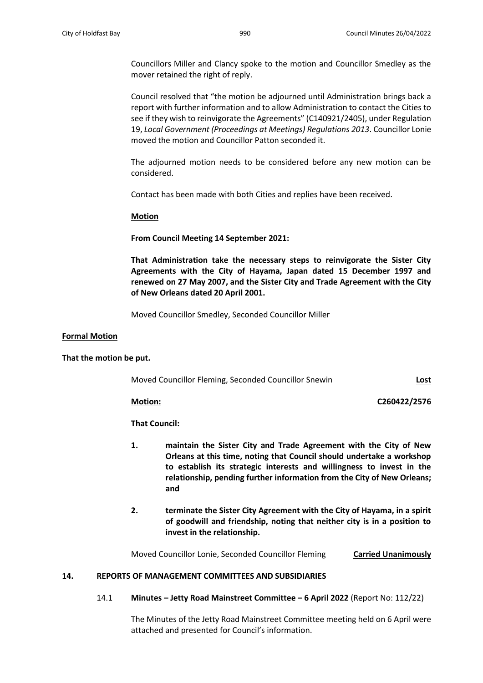Councillors Miller and Clancy spoke to the motion and Councillor Smedley as the mover retained the right of reply.

Council resolved that "the motion be adjourned until Administration brings back a report with further information and to allow Administration to contact the Cities to see if they wish to reinvigorate the Agreements" (C140921/2405), under Regulation 19, *Local Government (Proceedings at Meetings) Regulations 2013*. Councillor Lonie moved the motion and Councillor Patton seconded it.

The adjourned motion needs to be considered before any new motion can be considered.

Contact has been made with both Cities and replies have been received.

**Motion**

**From Council Meeting 14 September 2021:**

**That Administration take the necessary steps to reinvigorate the Sister City Agreements with the City of Hayama, Japan dated 15 December 1997 and renewed on 27 May 2007, and the Sister City and Trade Agreement with the City of New Orleans dated 20 April 2001.**

Moved Councillor Smedley, Seconded Councillor Miller

### **Formal Motion**

### **That the motion be put.**

Moved Councillor Fleming, Seconded Councillor Snewin **Lost**

**Motion: C260422/2576**

**That Council:**

- **1. maintain the Sister City and Trade Agreement with the City of New Orleans at this time, noting that Council should undertake a workshop to establish its strategic interests and willingness to invest in the relationship, pending further information from the City of New Orleans; and**
- **2. terminate the Sister City Agreement with the City of Hayama, in a spirit of goodwill and friendship, noting that neither city is in a position to invest in the relationship.**

Moved Councillor Lonie, Seconded Councillor Fleming **Carried Unanimously**

### **14. REPORTS OF MANAGEMENT COMMITTEES AND SUBSIDIARIES**

14.1 **Minutes – Jetty Road Mainstreet Committee – 6 April 2022** (Report No: 112/22)

The Minutes of the Jetty Road Mainstreet Committee meeting held on 6 April were attached and presented for Council's information.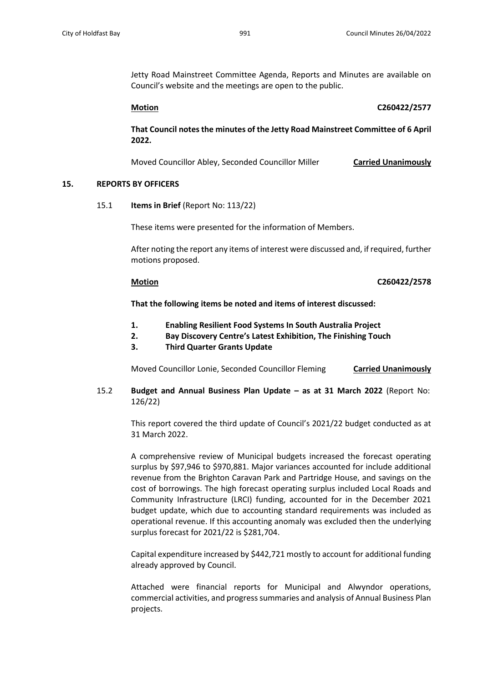Jetty Road Mainstreet Committee Agenda, Reports and Minutes are available on Council's website and the meetings are open to the public.

**Motion C260422/2577**

**That Council notes the minutes of the Jetty Road Mainstreet Committee of 6 April 2022.**

Moved Councillor Abley, Seconded Councillor Miller **Carried Unanimously**

### **15. REPORTS BY OFFICERS**

15.1 **Items in Brief** (Report No: 113/22)

These items were presented for the information of Members.

After noting the report any items of interest were discussed and, if required, further motions proposed.

### **Motion C260422/2578**

**That the following items be noted and items of interest discussed:** 

- **1. Enabling Resilient Food Systems In South Australia Project**
- **2. Bay Discovery Centre's Latest Exhibition, The Finishing Touch**
- **3. Third Quarter Grants Update**

Moved Councillor Lonie, Seconded Councillor Fleming **Carried Unanimously**

15.2 **Budget and Annual Business Plan Update – as at 31 March 2022** (Report No: 126/22)

This report covered the third update of Council's 2021/22 budget conducted as at 31 March 2022.

A comprehensive review of Municipal budgets increased the forecast operating surplus by \$97,946 to \$970,881. Major variances accounted for include additional revenue from the Brighton Caravan Park and Partridge House, and savings on the cost of borrowings. The high forecast operating surplus included Local Roads and Community Infrastructure (LRCI) funding, accounted for in the December 2021 budget update, which due to accounting standard requirements was included as operational revenue. If this accounting anomaly was excluded then the underlying surplus forecast for 2021/22 is \$281,704.

Capital expenditure increased by \$442,721 mostly to account for additional funding already approved by Council.

Attached were financial reports for Municipal and Alwyndor operations, commercial activities, and progress summaries and analysis of Annual Business Plan projects.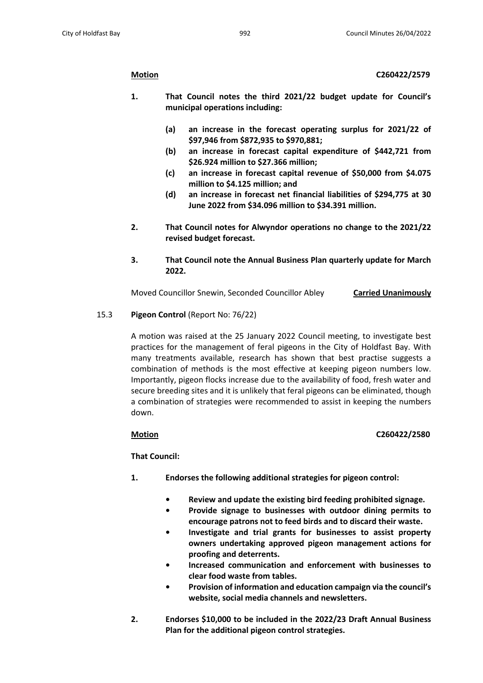- **1. That Council notes the third 2021/22 budget update for Council's municipal operations including:**
	- **(a) an increase in the forecast operating surplus for 2021/22 of \$97,946 from \$872,935 to \$970,881;**
	- **(b) an increase in forecast capital expenditure of \$442,721 from \$26.924 million to \$27.366 million;**
	- **(c) an increase in forecast capital revenue of \$50,000 from \$4.075 million to \$4.125 million; and**
	- **(d) an increase in forecast net financial liabilities of \$294,775 at 30 June 2022 from \$34.096 million to \$34.391 million.**
- **2. That Council notes for Alwyndor operations no change to the 2021/22 revised budget forecast.**
- **3. That Council note the Annual Business Plan quarterly update for March 2022.**

Moved Councillor Snewin, Seconded Councillor Abley **Carried Unanimously**

# 15.3 **Pigeon Control** (Report No: 76/22)

A motion was raised at the 25 January 2022 Council meeting, to investigate best practices for the management of feral pigeons in the City of Holdfast Bay. With many treatments available, research has shown that best practise suggests a combination of methods is the most effective at keeping pigeon numbers low. Importantly, pigeon flocks increase due to the availability of food, fresh water and secure breeding sites and it is unlikely that feral pigeons can be eliminated, though a combination of strategies were recommended to assist in keeping the numbers down.

# **Motion C260422/2580**

**That Council:**

- **1. Endorses the following additional strategies for pigeon control:**
	- **• Review and update the existing bird feeding prohibited signage.**
	- **• Provide signage to businesses with outdoor dining permits to encourage patrons not to feed birds and to discard their waste.**
	- **• Investigate and trial grants for businesses to assist property owners undertaking approved pigeon management actions for proofing and deterrents.**
	- **• Increased communication and enforcement with businesses to clear food waste from tables.**
	- **• Provision of information and education campaign via the council's website, social media channels and newsletters.**
- **2. Endorses \$10,000 to be included in the 2022/23 Draft Annual Business Plan for the additional pigeon control strategies.**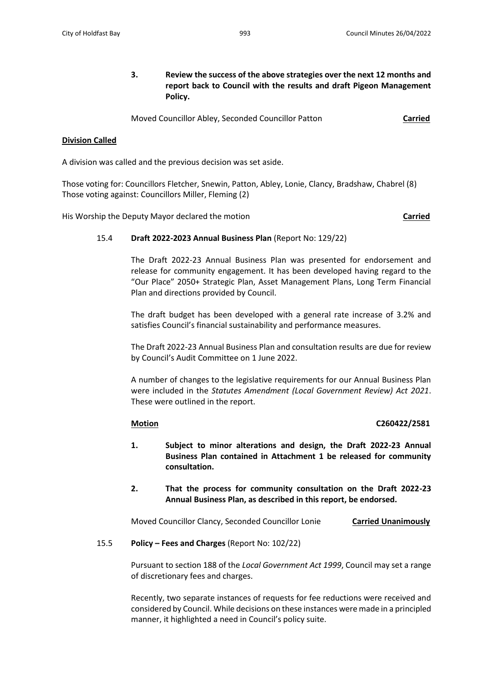**3. Review the success of the above strategies over the next 12 months and report back to Council with the results and draft Pigeon Management Policy.**

Moved Councillor Abley, Seconded Councillor Patton **Carried**

# **Division Called**

A division was called and the previous decision was set aside.

Those voting for: Councillors Fletcher, Snewin, Patton, Abley, Lonie, Clancy, Bradshaw, Chabrel (8) Those voting against: Councillors Miller, Fleming (2)

His Worship the Deputy Mayor declared the motion **Carried**

## 15.4 **Draft 2022-2023 Annual Business Plan** (Report No: 129/22)

The Draft 2022-23 Annual Business Plan was presented for endorsement and release for community engagement. It has been developed having regard to the "Our Place" 2050+ Strategic Plan, Asset Management Plans, Long Term Financial Plan and directions provided by Council.

The draft budget has been developed with a general rate increase of 3.2% and satisfies Council's financial sustainability and performance measures.

The Draft 2022-23 Annual Business Plan and consultation results are due for review by Council's Audit Committee on 1 June 2022.

A number of changes to the legislative requirements for our Annual Business Plan were included in the *Statutes Amendment (Local Government Review) Act 2021*. These were outlined in the report.

## **Motion C260422/2581**

- **1. Subject to minor alterations and design, the Draft 2022-23 Annual Business Plan contained in Attachment 1 be released for community consultation.**
- **2. That the process for community consultation on the Draft 2022-23 Annual Business Plan, as described in this report, be endorsed.**

Moved Councillor Clancy, Seconded Councillor Lonie **Carried Unanimously**

## 15.5 **Policy – Fees and Charges** (Report No: 102/22)

Pursuant to section 188 of the *Local Government Act 1999*, Council may set a range of discretionary fees and charges.

Recently, two separate instances of requests for fee reductions were received and considered by Council. While decisions on these instances were made in a principled manner, it highlighted a need in Council's policy suite.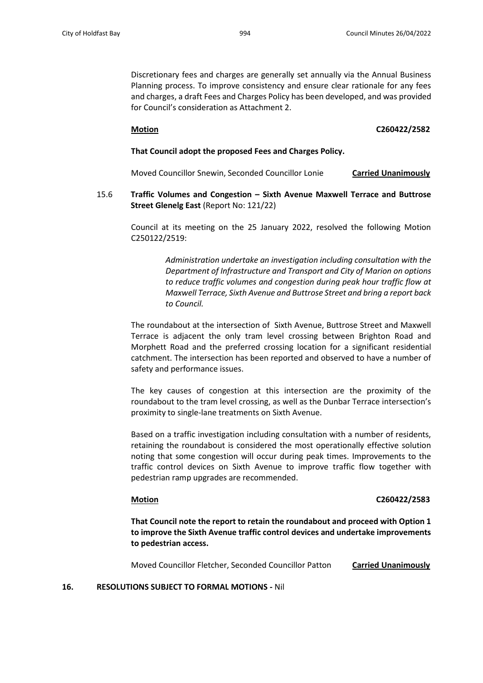Discretionary fees and charges are generally set annually via the Annual Business Planning process. To improve consistency and ensure clear rationale for any fees and charges, a draft Fees and Charges Policy has been developed, and was provided for Council's consideration as Attachment 2.

### **Motion C260422/2582**

### **That Council adopt the proposed Fees and Charges Policy.**

Moved Councillor Snewin, Seconded Councillor Lonie **Carried Unanimously**

15.6 **Traffic Volumes and Congestion – Sixth Avenue Maxwell Terrace and Buttrose Street Glenelg East** (Report No: 121/22)

Council at its meeting on the 25 January 2022, resolved the following Motion C250122/2519:

> *Administration undertake an investigation including consultation with the Department of Infrastructure and Transport and City of Marion on options to reduce traffic volumes and congestion during peak hour traffic flow at Maxwell Terrace, Sixth Avenue and Buttrose Street and bring a report back to Council.*

The roundabout at the intersection of Sixth Avenue, Buttrose Street and Maxwell Terrace is adjacent the only tram level crossing between Brighton Road and Morphett Road and the preferred crossing location for a significant residential catchment. The intersection has been reported and observed to have a number of safety and performance issues.

The key causes of congestion at this intersection are the proximity of the roundabout to the tram level crossing, as well as the Dunbar Terrace intersection's proximity to single-lane treatments on Sixth Avenue.

Based on a traffic investigation including consultation with a number of residents, retaining the roundabout is considered the most operationally effective solution noting that some congestion will occur during peak times. Improvements to the traffic control devices on Sixth Avenue to improve traffic flow together with pedestrian ramp upgrades are recommended.

## **Motion C260422/2583**

**That Council note the report to retain the roundabout and proceed with Option 1 to improve the Sixth Avenue traffic control devices and undertake improvements to pedestrian access.**

Moved Councillor Fletcher, Seconded Councillor Patton **Carried Unanimously**

### **16. RESOLUTIONS SUBJECT TO FORMAL MOTIONS -** Nil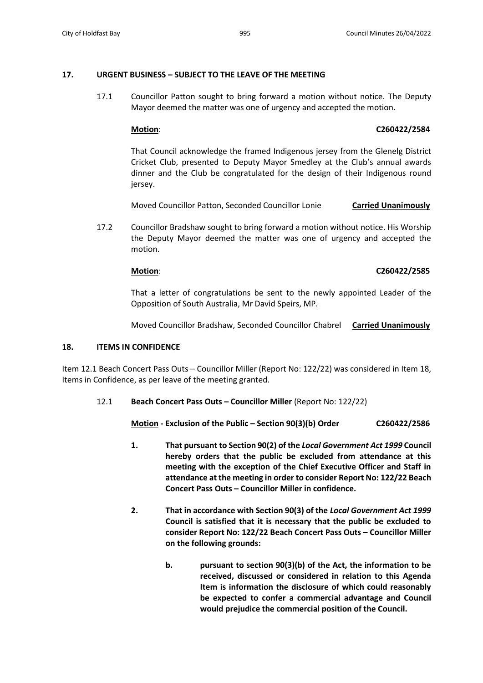# **17. URGENT BUSINESS – SUBJECT TO THE LEAVE OF THE MEETING**

17.1 Councillor Patton sought to bring forward a motion without notice. The Deputy Mayor deemed the matter was one of urgency and accepted the motion.

# **Motion**: **C260422/2584**

That Council acknowledge the framed Indigenous jersey from the Glenelg District Cricket Club, presented to Deputy Mayor Smedley at the Club's annual awards dinner and the Club be congratulated for the design of their Indigenous round jersey.

Moved Councillor Patton, Seconded Councillor Lonie **Carried Unanimously**

17.2 Councillor Bradshaw sought to bring forward a motion without notice. His Worship the Deputy Mayor deemed the matter was one of urgency and accepted the motion.

# **Motion**: **C260422/2585**

That a letter of congratulations be sent to the newly appointed Leader of the Opposition of South Australia, Mr David Speirs, MP.

Moved Councillor Bradshaw, Seconded Councillor Chabrel **Carried Unanimously**

# **18. ITEMS IN CONFIDENCE**

Item 12.1 Beach Concert Pass Outs – Councillor Miller (Report No: 122/22) was considered in Item 18, Items in Confidence, as per leave of the meeting granted.

12.1 **Beach Concert Pass Outs – Councillor Miller** (Report No: 122/22)

**Motion - Exclusion of the Public – Section 90(3)(b) Order C260422/2586**

- **1. That pursuant to Section 90(2) of the** *Local Government Act 1999* **Council hereby orders that the public be excluded from attendance at this meeting with the exception of the Chief Executive Officer and Staff in attendance at the meeting in order to consider Report No: 122/22 Beach Concert Pass Outs – Councillor Miller in confidence.**
- **2. That in accordance with Section 90(3) of the** *Local Government Act 1999* **Council is satisfied that it is necessary that the public be excluded to consider Report No: 122/22 Beach Concert Pass Outs – Councillor Miller on the following grounds:**
	- **b. pursuant to section 90(3)(b) of the Act, the information to be received, discussed or considered in relation to this Agenda Item is information the disclosure of which could reasonably be expected to confer a commercial advantage and Council would prejudice the commercial position of the Council.**